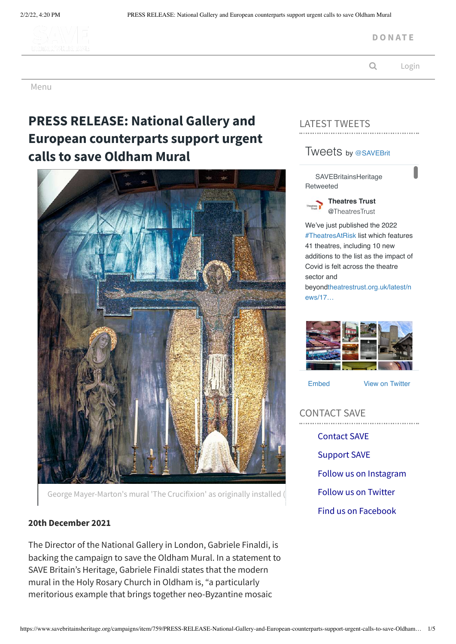

**D O N [AT](https://www.savebritainsheritage.org/support-us/) E**

Q [Login](https://www.savebritainsheritage.org/members/auth/login)

Menu

# **PRESS RELEASE: National Gallery and European counterparts support urgent calls to save Oldham Mural**



George Mayer-Marton's mural 'The Crucifixion' as originally installed (

### **20th December 2021**

The Director of the National Gallery in London, Gabriele Finaldi, is backing the campaign to save the Oldham Mural. In a statement to SAVE Britain's Heritage, Gabriele Finaldi states that the modern mural in the Holy Rosary Church in Oldham is, "a particularly meritorious example that brings together neo-Byzantine mosaic

# LATEST TWEETS

# Tweets by [@SAVEBrit](https://twitter.com/SAVEBrit)

**SAVEBritainsHeritage** Retweeted



**[Theatres Trust](https://twitter.com/TheatresTrust)** @TheatresTrust

We've just published the 2022 [#TheatresAtRisk](https://twitter.com/hashtag/TheatresAtRisk?src=hash) list which features 41 theatres, including 10 new additions to the list as the impact of Covid is felt across the theatre sector and [beyondtheatrestrust.org.uk/latest/n](https://t.co/22EDdTg5fG) ews/17…



[Embed](https://publish.twitter.com/?url=https%3A%2F%2Ftwitter.com%2FSAVEBrit) [View on Twitter](https://twitter.com/SAVEBrit)

CONTACT SAVE [Contact](https://www.savebritainsheritage.org/about-us/contact-us) SAVE [Support](https://www.savebritainsheritage.org/support-us) SAVE Follow us on [Instagram](https://www.instagram.com/savebritainsheritage/) Follow us on [Twitter](https://twitter.com/#!/SAVEBrit) Find us on [Facebook](https://www.facebook.com/save.heritage/)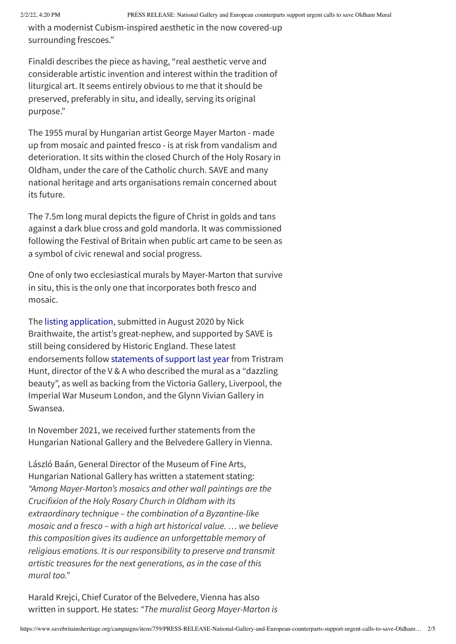with a modernist Cubism-inspired aesthetic in the now covered-up surrounding frescoes."

Finaldi describes the piece as having, "real aesthetic verve and considerable artistic invention and interest within the tradition of liturgical art. It seems entirely obvious to me that it should be preserved, preferably in situ, and ideally, serving its original purpose."

The 1955 mural by Hungarian artist George Mayer Marton - made up from mosaic and painted fresco - is at risk from vandalism and deterioration. It sits within the closed Church of the Holy Rosary in Oldham, under the care of the Catholic church. SAVE and many national heritage and arts organisations remain concerned about its future.

The 7.5m long mural depicts the figure of Christ in golds and tans against a dark blue cross and gold mandorla. It was commissioned following the Festival of Britain when public art came to be seen as a symbol of civic renewal and social progress.

One of only two ecclesiastical murals by Mayer-Marton that survive in situ, this is the only one that incorporates both fresco and mosaic.

The listing [application,](https://www.savebritainsheritage.org/campaigns/article/658/press-release-rare-oldham-mural-under-threat-save-calls-for-listing) submitted in August 2020 by Nick Braithwaite, the artist's great-nephew, and supported by SAVE is still being considered by Historic England. These latest endorsements follow [statements](https://www.savebritainsheritage.org/campaigns/article/689/press-release-leading-museums-and-galleries-back-national-campaign-to-save-oldham-mural-of-dazzling-beauty) of support last year from Tristram Hunt, director of the V & A who described the mural as a "dazzling beauty", as well as backing from the Victoria Gallery, Liverpool, the Imperial War Museum London, and the Glynn Vivian Gallery in Swansea.

In November 2021, we received further statements from the Hungarian National Gallery and the Belvedere Gallery in Vienna.

László Baán, General Director of the Museum of Fine Arts, Hungarian National Gallery has written a statement stating: *"Among Mayer-Marton's mosaics and other wall paintings are the Crucifixion of the Holy Rosary Church in Oldham with its extraordinary technique – the combination of a Byzantine-like mosaic and a fresco – with a high art historical value. … we believe this composition gives its audience an unforgettable memory of religious emotions. It is our responsibility to preserve and transmit artistic treasures for the next generations, as in the case of this mural too."*

Harald Krejci, Chief Curator of the Belvedere, Vienna has also written in support. He states: *"The muralist Georg Mayer-Marton is*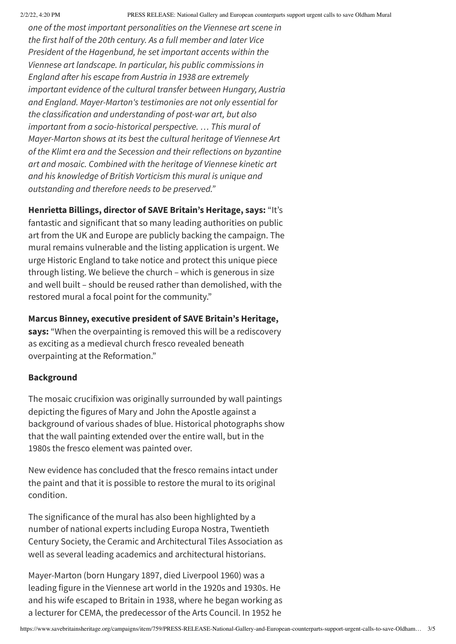*one of the most important personalities on the Viennese art scene in the first half of the 20th century. As a full member and later Vice President of the Hagenbund, he set important accents within the Viennese art landscape. In particular, his public commissions in England after his escape from Austria in 1938 are extremely important evidence of the cultural transfer between Hungary, Austria and England. Mayer-Marton's testimonies are not only essential for the classification and understanding of post-war art, but also important from a socio-historical perspective. … This mural of Mayer-Marton shows at its best the cultural heritage of Viennese Art of the Klimt era and the Secession and their reflections on byzantine art and mosaic. Combined with the heritage of Viennese kinetic art and his knowledge of British Vorticism this mural is unique and outstanding and therefore needs to be preserved."*

# **Henrietta Billings, director of SAVE Britain's Heritage, says:** "It's

fantastic and significant that so many leading authorities on public art from the UK and Europe are publicly backing the campaign. The mural remains vulnerable and the listing application is urgent. We urge Historic England to take notice and protect this unique piece through listing. We believe the church – which is generous in size and well built – should be reused rather than demolished, with the restored mural a focal point for the community."

# **Marcus Binney, executive president of SAVE Britain's Heritage,**

**says:** "When the overpainting is removed this will be a rediscovery as exciting as a medieval church fresco revealed beneath overpainting at the Reformation."

#### **Background**

The mosaic crucifixion was originally surrounded by wall paintings depicting the figures of Mary and John the Apostle against a background of various shades of blue. Historical photographs show that the wall painting extended over the entire wall, but in the 1980s the fresco element was painted over.

New evidence has concluded that the fresco remains intact under the paint and that it is possible to restore the mural to its original condition.

The significance of the mural has also been highlighted by a number of national experts including Europa Nostra, Twentieth Century Society, the Ceramic and Architectural Tiles Association as well as several leading academics and architectural historians.

Mayer-Marton (born Hungary 1897, died Liverpool 1960) was a leading figure in the Viennese art world in the 1920s and 1930s. He and his wife escaped to Britain in 1938, where he began working as a lecturer for CEMA, the predecessor of the Arts Council. In 1952 he